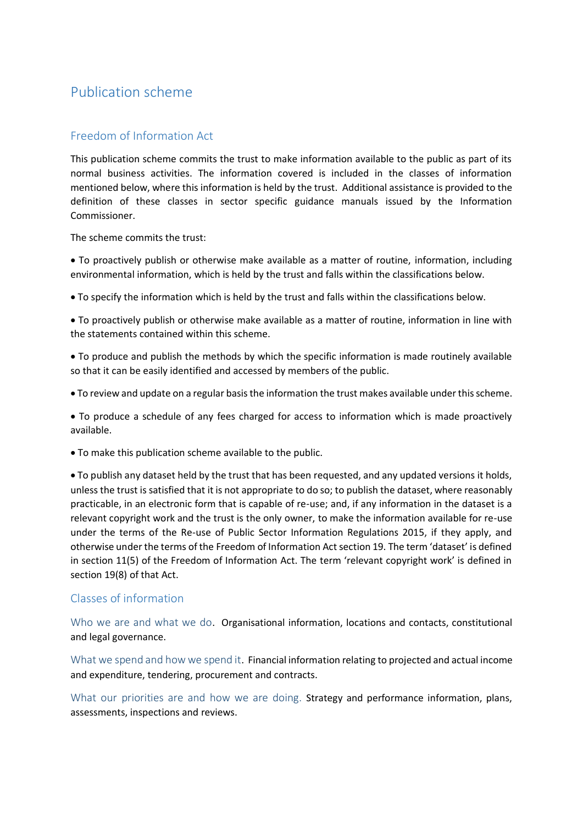# Publication scheme

# Freedom of Information Act

This publication scheme commits the trust to make information available to the public as part of its normal business activities. The information covered is included in the classes of information mentioned below, where this information is held by the trust. Additional assistance is provided to the definition of these classes in sector specific guidance manuals issued by the Information Commissioner.

The scheme commits the trust:

• To proactively publish or otherwise make available as a matter of routine, information, including environmental information, which is held by the trust and falls within the classifications below.

• To specify the information which is held by the trust and falls within the classifications below.

• To proactively publish or otherwise make available as a matter of routine, information in line with the statements contained within this scheme.

• To produce and publish the methods by which the specific information is made routinely available so that it can be easily identified and accessed by members of the public.

• To review and update on a regular basis the information the trust makes available under this scheme.

• To produce a schedule of any fees charged for access to information which is made proactively available.

• To make this publication scheme available to the public.

• To publish any dataset held by the trust that has been requested, and any updated versions it holds, unless the trust is satisfied that it is not appropriate to do so; to publish the dataset, where reasonably practicable, in an electronic form that is capable of re-use; and, if any information in the dataset is a relevant copyright work and the trust is the only owner, to make the information available for re-use under the terms of the Re-use of Public Sector Information Regulations 2015, if they apply, and otherwise under the terms of the Freedom of Information Act section 19. The term 'dataset' is defined in section 11(5) of the Freedom of Information Act. The term 'relevant copyright work' is defined in section 19(8) of that Act.

# Classes of information

Who we are and what we do. Organisational information, locations and contacts, constitutional and legal governance.

What we spend and how we spend it. Financial information relating to projected and actual income and expenditure, tendering, procurement and contracts.

What our priorities are and how we are doing. Strategy and performance information, plans, assessments, inspections and reviews.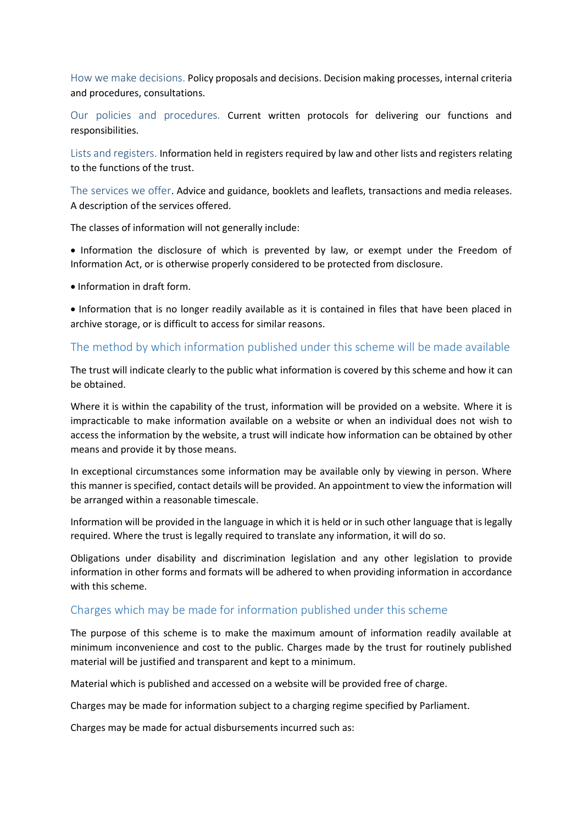How we make decisions. Policy proposals and decisions. Decision making processes, internal criteria and procedures, consultations.

Our policies and procedures. Current written protocols for delivering our functions and responsibilities.

Lists and registers. Information held in registers required by law and other lists and registers relating to the functions of the trust.

The services we offer. Advice and guidance, booklets and leaflets, transactions and media releases. A description of the services offered.

The classes of information will not generally include:

• Information the disclosure of which is prevented by law, or exempt under the Freedom of Information Act, or is otherwise properly considered to be protected from disclosure.

• Information in draft form.

• Information that is no longer readily available as it is contained in files that have been placed in archive storage, or is difficult to access for similar reasons.

#### The method by which information published under this scheme will be made available

The trust will indicate clearly to the public what information is covered by this scheme and how it can be obtained.

Where it is within the capability of the trust, information will be provided on a website. Where it is impracticable to make information available on a website or when an individual does not wish to access the information by the website, a trust will indicate how information can be obtained by other means and provide it by those means.

In exceptional circumstances some information may be available only by viewing in person. Where this manner is specified, contact details will be provided. An appointment to view the information will be arranged within a reasonable timescale.

Information will be provided in the language in which it is held or in such other language that is legally required. Where the trust is legally required to translate any information, it will do so.

Obligations under disability and discrimination legislation and any other legislation to provide information in other forms and formats will be adhered to when providing information in accordance with this scheme.

#### Charges which may be made for information published under this scheme

The purpose of this scheme is to make the maximum amount of information readily available at minimum inconvenience and cost to the public. Charges made by the trust for routinely published material will be justified and transparent and kept to a minimum.

Material which is published and accessed on a website will be provided free of charge.

Charges may be made for information subject to a charging regime specified by Parliament.

Charges may be made for actual disbursements incurred such as: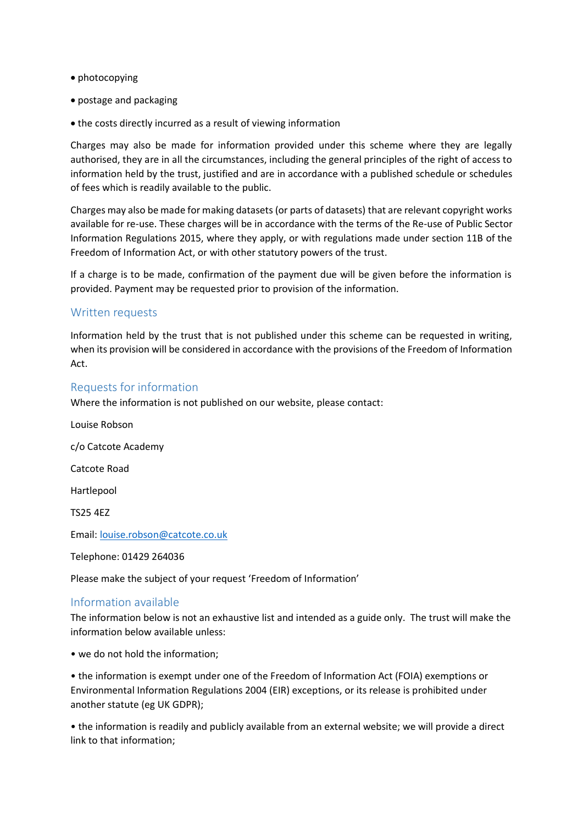- photocopying
- postage and packaging
- the costs directly incurred as a result of viewing information

Charges may also be made for information provided under this scheme where they are legally authorised, they are in all the circumstances, including the general principles of the right of access to information held by the trust, justified and are in accordance with a published schedule or schedules of fees which is readily available to the public.

Charges may also be made for making datasets (or parts of datasets) that are relevant copyright works available for re-use. These charges will be in accordance with the terms of the Re-use of Public Sector Information Regulations 2015, where they apply, or with regulations made under section 11B of the Freedom of Information Act, or with other statutory powers of the trust.

If a charge is to be made, confirmation of the payment due will be given before the information is provided. Payment may be requested prior to provision of the information.

#### Written requests

Information held by the trust that is not published under this scheme can be requested in writing, when its provision will be considered in accordance with the provisions of the Freedom of Information Act.

#### Requests for information

Where the information is not published on our website, please contact:

Louise Robson c/o Catcote Academy Catcote Road Hartlepool TS25 4EZ Email: [louise.robson@catcote.co.uk](mailto:louise.robson@catcote.co.uk) Telephone: 01429 264036

Please make the subject of your request 'Freedom of Information'

#### Information available

The information below is not an exhaustive list and intended as a guide only. The trust will make the information below available unless:

• we do not hold the information;

• the information is exempt under one of the Freedom of Information Act (FOIA) exemptions or Environmental Information Regulations 2004 (EIR) exceptions, or its release is prohibited under another statute (eg UK GDPR);

• the information is readily and publicly available from an external website; we will provide a direct link to that information;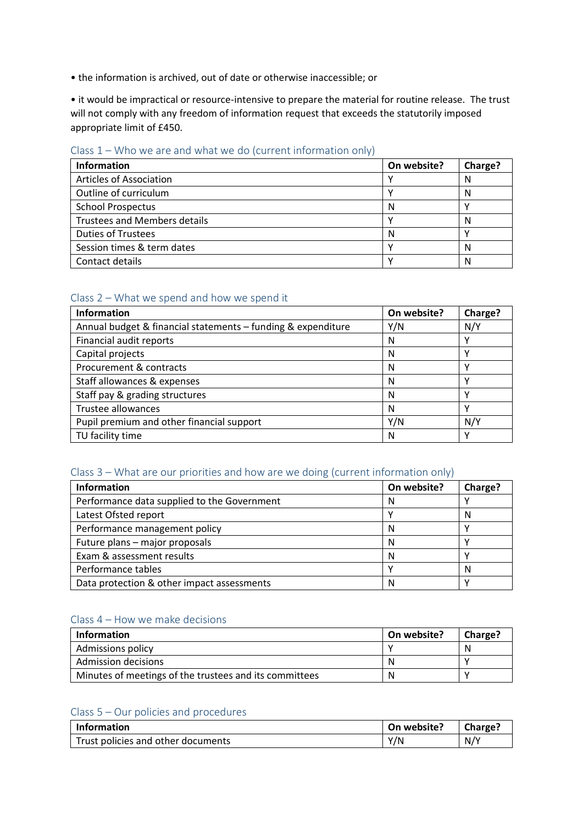• the information is archived, out of date or otherwise inaccessible; or

• it would be impractical or resource-intensive to prepare the material for routine release. The trust will not comply with any freedom of information request that exceeds the statutorily imposed appropriate limit of £450.

## Class 1 – Who we are and what we do (current information only)

| Information                         | On website? | Charge? |
|-------------------------------------|-------------|---------|
| <b>Articles of Association</b>      |             | N       |
| Outline of curriculum               |             | N       |
| <b>School Prospectus</b>            | N           |         |
| <b>Trustees and Members details</b> |             | N       |
| <b>Duties of Trustees</b>           | N           |         |
| Session times & term dates          |             | N       |
| Contact details                     |             | N       |

## Class 2 – What we spend and how we spend it

| <b>Information</b>                                           | On website? | Charge? |
|--------------------------------------------------------------|-------------|---------|
| Annual budget & financial statements - funding & expenditure | Y/N         | N/Y     |
| Financial audit reports                                      | N           |         |
| Capital projects                                             | N           |         |
| Procurement & contracts                                      | N           |         |
| Staff allowances & expenses                                  | N           |         |
| Staff pay & grading structures                               | N           |         |
| Trustee allowances                                           | N           |         |
| Pupil premium and other financial support                    | Y/N         | N/Y     |
| TU facility time                                             | N           |         |

#### Class 3 – What are our priorities and how are we doing (current information only)

| <b>Information</b>                          | On website? | Charge? |
|---------------------------------------------|-------------|---------|
| Performance data supplied to the Government | N           |         |
| Latest Ofsted report                        |             | N       |
| Performance management policy               | N           |         |
| Future plans - major proposals              | N           |         |
| Exam & assessment results                   | N           |         |
| Performance tables                          |             | N       |
| Data protection & other impact assessments  | N           |         |

#### Class 4 – How we make decisions

| <b>Information</b>                                     | On website? | <b>Charge?</b> |
|--------------------------------------------------------|-------------|----------------|
| <b>Admissions policy</b>                               |             | N              |
| Admission decisions                                    | A           |                |
| Minutes of meetings of the trustees and its committees | N           |                |

## Class 5 – Our policies and procedures

| Information                        | On website? | Charge? |
|------------------------------------|-------------|---------|
| Trust policies and other documents | Y/N         | N/Y     |